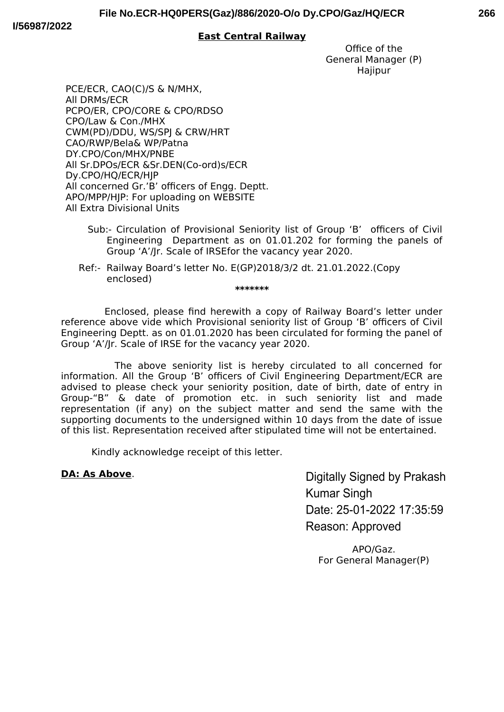## **East Central Railway**

Office of the General Manager (P) **Hajipur** 

PCE/ECR, CAO(C)/S & N/MHX, All DRMs/ECR PCPO/ER, CPO/CORE & CPO/RDSO CPO/Law & Con./MHX CWM(PD)/DDU, WS/SPJ & CRW/HRT CAO/RWP/Bela& WP/Patna DY.CPO/Con/MHX/PNBE All Sr.DPOs/ECR &Sr.DEN(Co-ord)s/ECR Dy.CPO/HQ/ECR/HJP All concerned Gr.'B' officers of Engg. Deptt. APO/MPP/HJP: For uploading on WEBSITE All Extra Divisional Units

- Sub:- Circulation of Provisional Seniority list of Group 'B' officers of Civil Engineering Department as on 01.01.202 for forming the panels of Group 'A'/Jr. Scale of IRSEfor the vacancy year 2020.
- Ref:- Railway Board's letter No. E(GP)2018/3/2 dt. 21.01.2022.(Copy enclosed) **\*\*\*\*\*\*\***

 Enclosed, please fnd herewith a copy of Railway Board's letter under reference above vide which Provisional seniority list of Group 'B' officers of Civil Engineering Deptt. as on 01.01.2020 has been circulated for forming the panel of Group 'A'/Jr. Scale of IRSE for the vacancy year 2020.

 The above seniority list is hereby circulated to all concerned for information. All the Group 'B' officers of Civil Engineering Department/ECR are advised to please check your seniority position, date of birth, date of entry in Group-"B" & date of promotion etc. in such seniority list and made representation (if any) on the subject matter and send the same with the supporting documents to the undersigned within 10 days from the date of issue of this list. Representation received after stipulated time will not be entertained.

Kindly acknowledge receipt of this letter.

# **DA: As Above**.

Digitally Signed by Prakash **Kumar Singh** Date: 25-01-2022 17:35:59 Reason: Approved

APO/Gaz. For General Manager(P)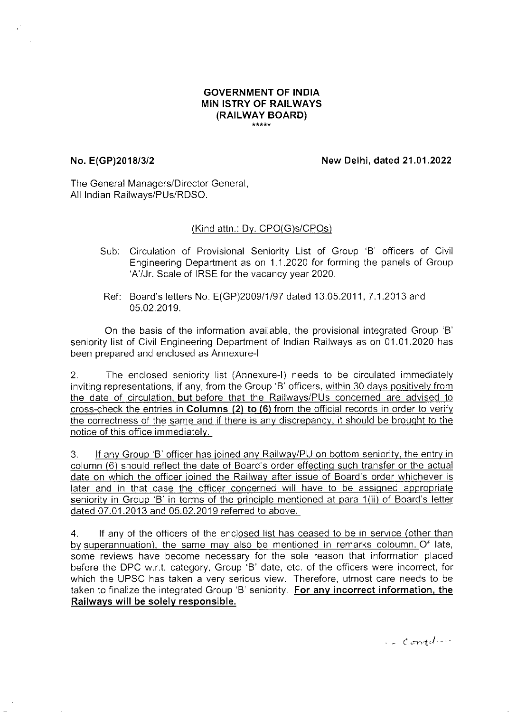#### **GOVERNMENT OF INDIA MIN ISTRY OF RAILWAYS** (RAILWAY BOARD) \*\*\*\*\*

## No. E(GP)2018/3/2

New Delhi, dated 21.01.2022

The General Managers/Director General, All Indian Railways/PUs/RDSO.

### (Kind attn.: Dy. CPO(G)s/CPOs)

- Sub: Circulation of Provisional Seniority List of Group 'B' officers of Civil Engineering Department as on 1.1.2020 for forming the panels of Group 'A'/Jr. Scale of IRSE for the vacancy year 2020.
- Ref: Board's letters No. E(GP)2009/1/97 dated 13.05.2011, 7.1.2013 and 05.02.2019.

On the basis of the information available, the provisional integrated Group 'B' seniority list of Civil Engineering Department of Indian Railways as on 01.01.2020 has been prepared and enclosed as Annexure-I

The enclosed seniority list (Annexure-I) needs to be circulated immediately  $\overline{2}$ . inviting representations, if any, from the Group 'B' officers, within 30 days positively from the date of circulation, but before that the Railways/PUs concerned are advised to cross-check the entries in Columns (2) to (6) from the official records in order to verify the correctness of the same and if there is any discrepancy, it should be brought to the notice of this office immediately.

If any Group 'B' officer has joined any Railway/PU on bottom seniority, the entry in 3. column (6) should reflect the date of Board's order effecting such transfer or the actual date on which the officer joined the Railway after issue of Board's order whichever is later and in that case the officer concerned will have to be assigned appropriate seniority in Group 'B' in terms of the principle mentioned at para 1(ii) of Board's letter dated 07.01.2013 and 05.02.2019 referred to above.

 $4.$ If any of the officers of the enclosed list has ceased to be in service (other than by superannuation), the same may also be mentioned in remarks coloumn. Of late, some reviews have become necessary for the sole reason that information placed before the DPC w.r.t. category, Group 'B' date, etc. of the officers were incorrect, for which the UPSC has taken a very serious view. Therefore, utmost care needs to be taken to finalize the integrated Group 'B' seniority. For any incorrect information, the Railways will be solely responsible.

 $\frac{1}{2}$  contd ...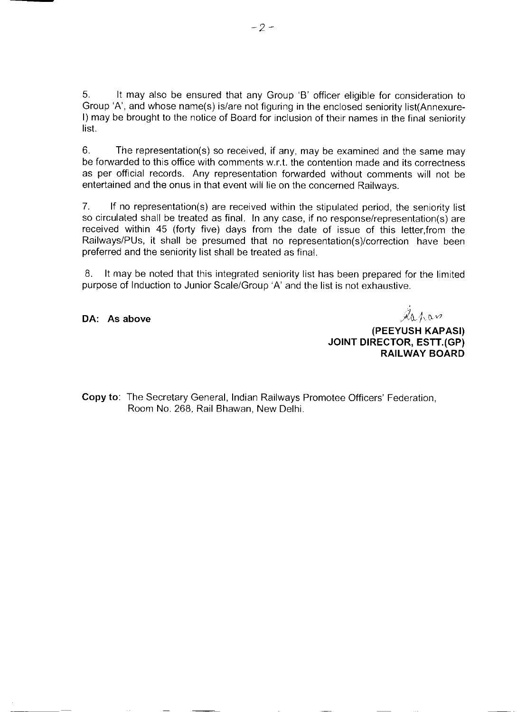5. It may also be ensured that any Group 'B' officer eligible for consideration to Group 'A', and whose name(s) is/are not figuring in the enclosed seniority list(Annexure-I) may be brought to the notice of Board for inclusion of their names in the final seniority list.

 $6.$ The representation(s) so received, if any, may be examined and the same may be forwarded to this office with comments w.r.t. the contention made and its correctness as per official records. Any representation forwarded without comments will not be entertained and the onus in that event will lie on the concerned Railways.

 $7<sub>1</sub>$ If no representation(s) are received within the stipulated period, the seniority list so circulated shall be treated as final. In any case, if no response/representation(s) are received within 45 (forty five) days from the date of issue of this letter, from the Railways/PUs, it shall be presumed that no representation(s)/correction have been preferred and the seniority list shall be treated as final.

8. It may be noted that this integrated seniority list has been prepared for the limited purpose of Induction to Junior Scale/Group 'A' and the list is not exhaustive.

DA: As above

Ashaw

(PEEYUSH KAPASI) JOINT DIRECTOR, ESTT.(GP) **RAILWAY BOARD** 

Copy to: The Secretary General, Indian Railways Promotee Officers' Federation, Room No. 268, Rail Bhawan, New Delhi.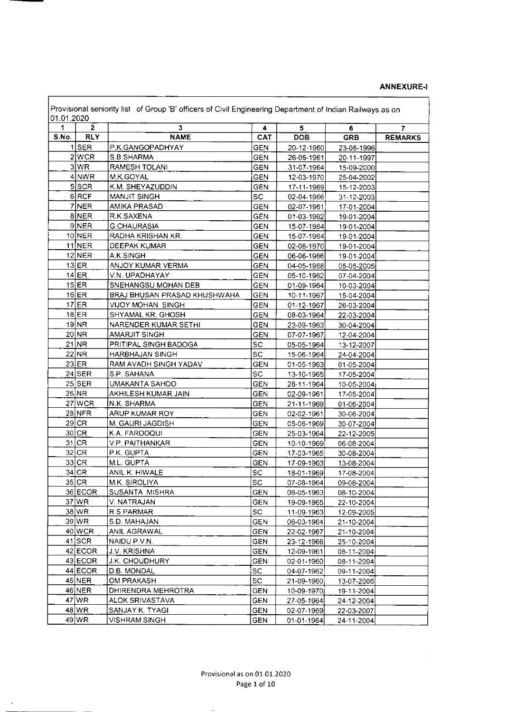#### **ANNEXURE-I**

 $\sim$   $\sim$ 

| 01.01.2020<br>1 | $\mathbf{2}$  | 3                                     | 4                        | 5                         | 6          | $\overline{7}$ |
|-----------------|---------------|---------------------------------------|--------------------------|---------------------------|------------|----------------|
| S.No.           | <b>RLY</b>    | <b>NAME</b>                           | CAT                      | <b>DOB</b>                | <b>GRB</b> | <b>REMARKS</b> |
| 1               | <b>SER</b>    | P.K.GANGOPADHYAY                      | <b>GEN</b>               | 20-12-1960                | 23-08-1996 |                |
|                 | 2 WCR         | S.B.SHARMA                            | <b>GEN</b>               | 26-05-1961                | 20-11-1997 |                |
|                 | 3 WR          | RAMESH TOLANI                         | <b>GEN</b>               | 31-07-1964                | 15-09-2000 |                |
|                 | $4$ NWR       | M.K.GOYAL                             | <b>GEN</b>               | 12-03-1970                | 25-04-2002 |                |
|                 | 5 SCR         | K.M. SHEYAZUDDIN                      | <b>GEN</b>               | 17-11-1969                | 15-12-2003 |                |
|                 | 6 RCF         | <b>MANJIT SINGH</b>                   | <b>SC</b>                | 02-04-1966                | 31-12-2003 |                |
|                 | 7 NER         | AMIKA PRASAD                          | <b>GEN</b>               | 02-07-1961                | 17-01-2004 |                |
|                 | 8NER          | R.K.SAXENA                            | <b>GEN</b>               | 01-03-1962                | 19-01-2004 |                |
|                 | $9$ NER       | <b>G.CHAURASIA</b>                    | <b>GEN</b>               | 15-07-1964                | 19-01-2004 |                |
|                 | $10$ NER      | RADHA KRISHAN KR.                     | <b>GEN</b>               | 15-07-1964                | 19-01-2004 |                |
|                 | <b>11 NER</b> | DEEPAK KUMAR                          | <b>GEN</b>               | 02-08-1970                | 19-01-2004 |                |
|                 | $12$ NER      | A.K.SINGH                             | <b>GEN</b>               | 06-06-1966                | 19-01-2004 |                |
|                 | $13$ ER       | ANJOY KUMAR VERMA                     | <b>GEN</b>               | 04-05-1968                | 05-05-2005 |                |
|                 | $14$ ER       | V.N. UPADHAYAY                        | <b>GEN</b>               | 05-10-1962                | 07-04-2004 |                |
|                 | $15$ $ER$     | SNEHANGSU MOHAN DEB                   | <b>GEN</b>               | 01-09-1964                | 10-03-2004 |                |
|                 | $16$ ER       | BRAJ BHUSAN PRASAD KHUSHWAHA          | <b>GEN</b>               | 10-11-1967                | 15-04-2004 |                |
|                 | $17$ $ER$     | VIJOY MOHAN SINGH                     | GEN                      | 01-12-1967                | 26-03-2004 |                |
|                 | $18$ ER       | SHYAMAL KR. GHOSH                     | <b>GEN</b>               | 08-03-1964                | 22-03-2004 |                |
|                 | 19 NR         | NARENDER KUMAR SETHI                  | <b>GEN</b>               | 23-09-1963                | 30-04-2004 |                |
|                 | 20 NR         | <b>AMARJIT SINGH</b>                  | <b>GEN</b>               | 07-07-1967                | 12-04-2004 |                |
|                 | 21 NR         | PRITIPAL SINGH BADOGA                 | SC                       | 05-05-1964                | 13-12-2007 |                |
|                 | 22 NR         | HARBHAJAN SINGH                       | SC                       | 15-06-1964                | 24-04-2004 |                |
|                 | $23$ ER       | RAM AVADH SINGH YADAV                 | <b>GEN</b>               | 01-05-1963                | 01-05-2004 |                |
|                 | $24$ SER      | S.P. SAHANA                           | <b>SC</b>                | 13-10-1965                | 17-05-2004 |                |
|                 | $25$ SER      | UMAKANTA SAHOO                        | <b>GEN</b>               | 28-11-1964                | 10-05-2004 |                |
|                 | 26 NR         | AKHILESH KUMAR JAIN                   | <b>GEN</b>               | 02-09-1961                | 17-05-2004 |                |
|                 | $27$ WCR      | N.K. SHARMA                           | <b>GEN</b>               | 21-11-1969                | 01-06-2004 |                |
|                 | $28$ NFR      | ARUP KUMAR ROY                        | GEN                      | 02-02-1961                | 30-06-2004 |                |
|                 | $29$ CR       | M. GAURI JAGDISH                      | <b>GEN</b>               | 05-06-1969                | 30-07-2004 |                |
|                 | 30 CR         | K.A. FAROOQUI                         | <b>GEN</b>               | 25-03-1964                | 22-12-2005 |                |
|                 | $31$ CR       | V.P. PAITHANKAR                       | <b>GEN</b>               | 10-10-1969                | 06-08-2004 |                |
|                 | $32$ CR       | P.K. GUPTA                            | <b>GEN</b>               | 17-03-1965                | 30-08-2004 |                |
|                 | $33$ CR       | M.L. GUPTA                            | <b>GEN</b>               | 17-09-1963                | 13-08-2004 |                |
|                 | $34$ CR       | ANIL K. HIWALE                        | <b>SC</b>                | 18-01-1969                | 17-08-2004 |                |
|                 | $35$ CR       | M.K. SIROLIYA                         | SC                       | 07-08-1964                | 09-08-2004 |                |
|                 | 36 ECOR       | SUSANTA MISHRA                        | <b>GEN</b>               | 06-05-1963                | 08-10-2004 |                |
|                 | $37$ WR       | V. NATRAJAN                           | <b>GEN</b>               | 19-09-1965                | 22-10-2004 |                |
|                 | $38$ $WR$     | R S PARMAR                            | <b>SC</b>                | 11-09-1963                | 12-09-2005 |                |
|                 | $39$ $WR$     | S.D. MAHAJAN                          | <b>GEN</b>               | 06-03-1964                |            |                |
|                 | $40$ WCR      | ANIL AGRAWAL                          | <b>GEN</b>               |                           | 21-10-2004 |                |
|                 | $41$ SCR      | NAIDU P.V.N.                          |                          | 22-02-1967                | 21-10-2004 |                |
|                 | 42 ECOR       | <b>J.V. KRISHNA</b>                   | <b>GEN</b><br><b>GEN</b> | 23-12-1966<br>12-09-1961] | 25-10-2004 |                |
|                 | 43 ECOR       | J.K. CHOUDHURY                        | <b>GEN</b>               |                           | 08-11-2004 |                |
|                 | 44 ECOR       | D.B. MONDAL                           | SC.                      | 02-01-1960                | 08-11-2004 |                |
|                 | 45 NER        | OM PRAKASH                            | <b>SC</b>                | 04-07-1962                | 09-11-2004 |                |
|                 | 46 NER        |                                       |                          | 21-09-1960                | 13-07-2006 |                |
|                 | 47 WR         | DHIRENDRA MEHROTRA<br>ALOK SRIVASTAVA | <b>GEN</b><br><b>GEN</b> | 10-09-1970                | 19-11-2004 |                |
|                 | 48 WR         | SANJAY K. TYAGI                       |                          | 27-05-1964                | 24-12-2004 |                |
|                 |               |                                       | <b>GEN</b>               | 02-07-1969                | 22-03-2007 |                |
|                 | 49 WR         | <b>VISHRAM SINGH</b>                  | <b>GEN</b>               | 01-01-1964                | 24-11-2004 |                |

 $\sim$ 

 $\bar{\star}$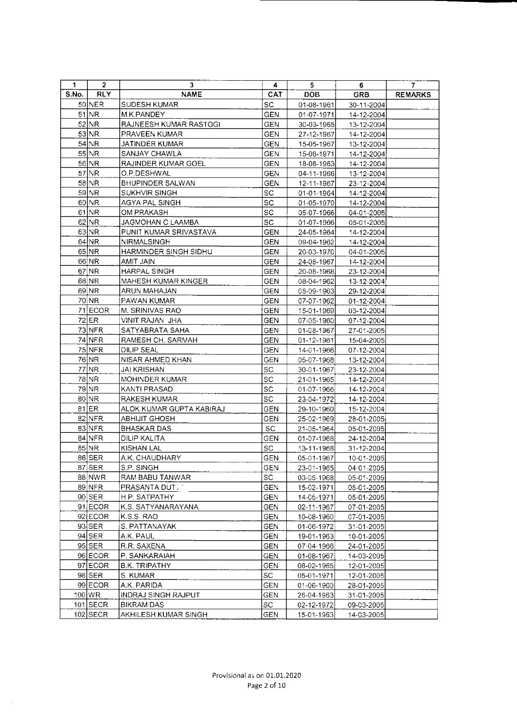| 1.    | $\mathbf{z}$          | 3                          | 4          | 5                | 6          | 7              |
|-------|-----------------------|----------------------------|------------|------------------|------------|----------------|
| S.No. | <b>RLY</b>            | <b>NAME</b>                | CAT.       | <b>DOB</b>       | <b>GRB</b> | <b>REMARKS</b> |
|       | 50 NER                | SUDESH KUMAR               | <b>SC</b>  | 01-08-1961       | 30-11-2004 |                |
|       | 51 NR                 | M.K.PANDEY                 | <b>GEN</b> | 01-07-1971       | 14-12-2004 |                |
|       | 52 NR                 | RAJNEESH KUMAR RASTOGI     | <b>GEN</b> | 30-03-1965       | 13-12-2004 |                |
|       | 53 NR                 | PRAVEEN KUMAR              | GEN        | 27-12-1967       | 14-12-2004 |                |
|       | 54 NR                 | JATINDER KUMAR             | <b>GEN</b> | 15-05-1967       | 13-12-2004 |                |
|       | 55 NR                 | SANJAY CHAWLA              | <b>GEN</b> | 15-08-1971       | 14-12-2004 |                |
|       | 56 NR                 | RAJINDER KUMAR GOEL        | <b>GEN</b> | 18-08-1963       | 14-12-2004 |                |
|       | $57$ NR               | O.P.DESHWAL                | <b>GEN</b> | 04-11-1966       | 13-12-2004 |                |
|       | 58 NR                 | BHUPINDER SALWAN           | <b>GEN</b> | 12-11-1967       | 23-12-2004 |                |
|       | 59 NR                 | SUKHVIR SINGH              | SC.        | 01-01-1964       | 14-12-2004 |                |
|       | 60 NR                 | AGYA PAL SINGH             | SC         | $01 - 05 - 1970$ | 14-12-2004 |                |
|       | $61$ NR               | OM PRAKASH                 | <b>SC</b>  | 05-07-1966       | 04-01-2005 |                |
|       | 62 NR                 | JAGMOHAN C LAAMBA          | SC.        | 01-07-1966       | 05-01-2005 |                |
|       | 63 NR                 | PUNIT KUMAR SRIVASTAVA     | <b>GEN</b> | 24-05-1964       | 14-12-2004 |                |
|       | 64 NR                 | NIRMALSINGH                | <b>GEN</b> | 09-04-1962       | 14-12-2004 |                |
|       | $65$ NR               | HARMINDER SINGH SIDHU      | <b>GEN</b> | 20-03-1970       | 04-01-2005 |                |
|       | 66 NR                 | AMIT JAIN                  | GEN        | 24-08-1967       | 14-12-2004 |                |
|       | 67 NR                 | HARPAL SINGH               | <b>GEN</b> | 20-08-1968       | 23-12-2004 |                |
|       | 68 NR                 | MAHESH KUMAR KINGER        | GEN        | 08-04-1962       | 13-12-2004 |                |
|       | 69 NR                 | ARUN MAHAJAN               | GEN        | 05-09-1963       | 29-12-2004 |                |
|       | 70 NR                 | PAWAN KUMAR                | <b>GEN</b> | 07-07-1962       | 01-12-2004 |                |
|       | 71 ECOR               | M. SRINIVAS RAO            | <b>GEN</b> | 15-01-1969       | 03-12-2004 |                |
|       | $72$ ER               | VINIT RAJAN JHA            | GEN        | 07-05-1960       | 07-12-2004 |                |
|       | 73 NFR                | SATYABRATA SAHA            | <b>GEN</b> | 01-08-1967       | 27-01-2005 |                |
|       | 74 NFR                | RAMESH CH. SARMAH          | <b>GEN</b> | 01-12-1961       | 15-04-2005 |                |
|       | 75 NFR                | DILIP SEAL                 | <b>GEN</b> | 14-01-1966       | 07-12-2004 |                |
|       | 76 NR                 | NISAR AHMED KHAN           | <b>GEN</b> | 05-07-1968       | 13-12-2004 |                |
|       | 77 NR                 | JAI KRISHAN                | SC         | 30-01-1967       | 23-12-2004 |                |
|       | 78 NR                 | MOHINDER KUMAR             | SC.        | 21-01-1965       | 14-12-2004 |                |
|       | 79 NR                 | KANTI PRASAD               | <b>SC</b>  | 01-07-1966       | 14-12-2004 |                |
|       | 80 NR                 | RAKESH KUMAR               | SC.        | 23-04-1972       | 14-12-2004 |                |
|       | 81 ER                 | ALOK KUMAR GUPTA KABIRAJ   | <b>GEN</b> | 29-10-1960       | 15-12-2004 |                |
|       | $82$ NFR              | <b>ABHIJIT GHOSH</b>       | <b>GEN</b> | 25-02-1969       | 28-01-2005 |                |
|       | 83 NFR                | <b>BHASKAR DAS</b>         | SC         | 21-05-1964       | 05-01-2005 |                |
|       | 84 NFR                | DILIP KALITA               | <b>GEN</b> | 01-07-1968       | 24-12-2004 |                |
|       | 85 NR                 | KISHAN LAL                 | SC         | 13-11-1968       | 31-12-2004 |                |
|       | $86$ SER              | A.K. CHAUDHARY             | <b>GEN</b> | 05-01-1967       | 10-01-2005 |                |
|       | $87$ SER              | S.P. SINGH                 | <b>GEN</b> | 23-01-1965       | 04-01-2005 |                |
|       | 88 NWR                | RAM BABU TANWAR            | SC.        | 03-05-1968       | 05-01-2005 |                |
|       | 89 NFR                | PRASANTA DUT : '           | <b>GEN</b> | 15-02-1971       | 05-01-2005 |                |
|       | 90 SER                | H.P. SATPATHY              | <b>GEN</b> | 14-05-1971       | 05-01-2005 |                |
|       | 91 ECOR               | K.S. SATYANARAYANA         | <b>GEN</b> | 02-11-1967       | 07-01-2005 |                |
|       | 92 ECOR               | K.S.S. RAO                 | <b>GEN</b> | 10-08-1960       | 07-01-2005 |                |
|       | $93$ SER              | S. PATTANAYAK              | <b>GEN</b> | 01-06-1972       | 31-01-2005 |                |
|       | 94 SER                | A.K. PAUL                  | GEN        | 19-01-1963       | 10-01-2005 |                |
|       | $95$ SER              | R.R. SAXENA                | <b>GEN</b> | 07-04-1966       | 24-01-2005 |                |
|       | 96 ECOR               | P. SANKARAIAH              | <b>GEN</b> | 01-08-1967       | 14-03-2005 |                |
|       | 97 ECOR               | B.K. TRIPATHY              | <b>GEN</b> | 08-02-1965       | 12-01-2005 |                |
|       | 98 SER                | S. KUMAR                   | SC         | 05-01-1971       | 12-01-2005 |                |
|       | 99 ECOR               | A.K. PARIDA                | GEN        | 01-06-1960       | 28-01-2005 |                |
|       | $100 \vert \text{WR}$ | <b>INDRAJ SINGH RAJPUT</b> | GEN        | 26-04-1963       | 31-01-2005 |                |
|       | $101$ SECR            | BIKRAM DAS                 | SC         | 02-12-1972       | 09-03-2005 |                |
|       | $102$ SECR            | AKHILESH KUMAR SINGH       | <b>GEN</b> | 15-01-1963       | 14-03-2005 |                |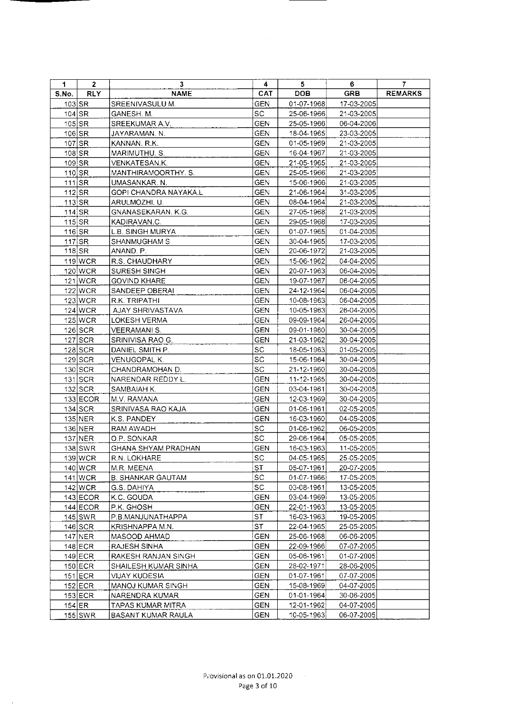| 1          | $\mathbf{2}$ | $\overline{\mathbf{3}}$ | 4          | 5.           | 6          | $\overline{I}$ |
|------------|--------------|-------------------------|------------|--------------|------------|----------------|
| S.No.      | <b>RLY</b>   | <b>NAME</b>             | CAT        | <b>DOB</b>   | <b>GRB</b> | <b>REMARKS</b> |
| $103$ SR   |              | SREENIVASULU M.         | GEN        | 01-07-1968   | 17-03-2005 |                |
|            | $104$ SR     | GANESH. M.              | SC         | 25-06-1966   | 21-03-2005 |                |
|            | $105$ $SR$   | SREEKUMAR A.V.          | <b>GEN</b> | 25-05-1966   | 06-04-2006 |                |
| $106$ SR   |              | JAYARAMAN. N.           | GEN        | 18-04-1965   | 23-03-2005 |                |
| 107 SR     |              | KANNAN. R.K.            | <b>GEN</b> | 01-05-1969   | 21-03-2005 |                |
| 108 SR     |              | MARIMUTHU. S.           | GEN        | 16-04-1967   | 21-03-2005 |                |
| $109$ SR   |              | VENKATESAN K.           | <b>GEN</b> | 21-05-1965   | 21-03-2005 |                |
| 110 SR     |              | MANTHIRAMOORTHY. S.     | <b>GEN</b> | 25-05-1966   | 21-03-2005 |                |
| $111$ $SR$ |              | UMASANKAR. N.           | <b>GEN</b> | 15-06-1966   | 21-03-2005 |                |
| $112$ SR   |              | GOPI CHANDRA NAYAKA L   | <b>GEN</b> | 21-06-1964   | 31-03-2005 |                |
| $113$ SR   |              | ARULMOZHI. U.           | <b>GEN</b> | 08-04-1964   | 21-03-2005 |                |
| $114$ SR   |              | GNANASEKARAN. K.G.      | <b>GEN</b> | 27-05-1968   | 21-03-2005 |                |
| $115$ SR   |              | KADIRAVAN.C.            | <b>GEN</b> | 29-05-1968   | 17-03-2005 |                |
| $116$ SR   |              | L.B. SINGH MURYA        | <b>GEN</b> | 01-07-1965   | 01-04-2005 |                |
|            | $117$ SR     | SHANMUGHAM S            | <b>GEN</b> | 30-04-1965   | 17-03-2005 |                |
|            | $118$ $SR$   | ANAND. P.               | GEN        | 20-06-1972   | 21-03-2005 |                |
|            | 119 WCR      | R.S. CHAUDHARY          | <b>GEN</b> | 15-06-1962   | 04-04-2005 |                |
|            | 120 WCR      | SURESH SINGH            | <b>GEN</b> | 20-07-1963   | 06-04-2005 |                |
|            | $121$ WCR    | <b>GOVIND KHARE</b>     | <b>GEN</b> | 19-07-1967   | 06-04-2005 |                |
|            | 122 WCR      | SANDEEP OBERAI          | GEN        | 24-12-1964   | 06-04-2005 |                |
|            | $123$ WCR    | R.K. TRIPATHI           | <b>GEN</b> | 10-08-1963   | 06-04-2005 |                |
|            | $124$ WCR    | AJAY SHRIVASTAVA        | <b>GEN</b> | 10-05-1963   | 26-04-2005 |                |
|            | $125$ WCR    | LOKESH VERMA            | <b>GEN</b> | 09-09-1964   | 26-04-2005 |                |
|            | $126$ SCR    | VEERAMANI S.            | <b>GEN</b> | 09-01-1960   | 30-04-2005 |                |
|            | $127$ SCR    | SRINIVISA RAO G.        | <b>GEN</b> | 21-03-1962   | 30-04-2005 |                |
|            | $128$ SCR    | DANIEL SMITH P.         | SC.        | 18-05-1963   | 01-05-2005 |                |
|            | $129$ SCR    | VENUGOPAL K.            | SC.        | 15-06-1964   | 30-04-2005 |                |
|            | 130 SCR      | CHANDRAMOHAN D.         | SC         | 21-12-1960   | 30-04-2005 |                |
|            | $131$ SCR    | NARENDAR REDDY L.       | <b>GEN</b> | 11-12-1965   | 30-04-2005 |                |
|            | $132$ SCR    | SAMBAIAH K.             | <b>GEN</b> | 03-04-1961   | 30-04-2005 |                |
|            | $133$ ECOR   | M.V. RAMANA             | <b>GEN</b> | 12-03-1969   | 30-04-2005 |                |
|            | $134$ SCR    | SRINIVASA RAO KAJA      | <b>GEN</b> | 01-06-1961   | 02-05-2005 |                |
|            | $135$ NER    | K.S. PANDEY             | GEN        | 16-03-1960   | 04-05-2005 |                |
|            | $136$ NER    | RAM AWADH               | SC.        | 01-06-1962   | 06-05-2005 |                |
|            | 137 NER      | O.P. SONKAR             | SC         | 29-06-1964   | 05-05-2005 |                |
|            | $138$ SWR    | GHANA SHYAM PRADHAN     | <b>GEN</b> | 16-03-1963   | 11-05-2005 |                |
|            | 139 WCR      | R.N. LOKHARE            | SC         | 04-05-1965   | 25-05-2005 |                |
|            | $140$ WCR    | M.R. MEENA              | ST         | 05-07-1961   | 20-07-2005 |                |
|            | $141$ WCR    | B. SHANKAR GAUTAM       | SC         | 01-07-1966   | 17-05-2005 |                |
|            | 142 WCR      | G.S. DAHIYA             | SC         | 03-08-1961   | 13-05-2005 |                |
|            | $143$ ECOR   | K.C. GOUDA              | GEN        | 03-04-1969   | 13-05-2005 |                |
|            | $144$ ECOR   | P.K. GHOSH              | GEN        | 22-01-1963   | 13-05-2005 |                |
|            | $145$ SWR    | P.B.MANJUNATHAPPA       | ST         | 16-03-1963   | 19-05-2005 |                |
|            | $146$ SCR    | KRISHNAPPA M.N.         | ST         | 22-04-1965   | 25-05-2005 |                |
|            | 147 NER      | MASOOD AHMAD            | GEN        | 25-06-1968   | 06-06-2005 |                |
|            | $148$ ECR    | RAJESH SINHA            | GEN        | 22-09-1966   | 07-07-2005 |                |
|            | $149$ ECR    | RAKESH RANJAN SINGH     | GEN        | 05-06-1961   | 01-07-2005 |                |
|            | $150$ ECR    | SHAILESH KUMAR SINHA    | GEN        | 28-02-1971   | 28-06-2005 |                |
|            | $151$ ECR    | VIJAY KUDESIA           | <b>GEN</b> | 01-07-1961   | 07-07-2005 |                |
|            | $152$ ECR    | MANOJ KUMAR SINGH       | <b>GEN</b> | 15-08-1969   | 04-07-2005 |                |
|            | $153$ ECR    | NARENDRA KUMAR          | <b>GEN</b> | $01-01-1964$ | 30-06-2005 |                |
|            | $154$ ER     | TAPAS KUMAR MITRA       | GEN        | 12-01-1962   | 04-07-2005 |                |
|            | $155$ SWR    | BASANT KUMAR RAULA      | GEN        | 10-05-1963   | 06-07-2005 |                |

 $\ddot{\phantom{a}}$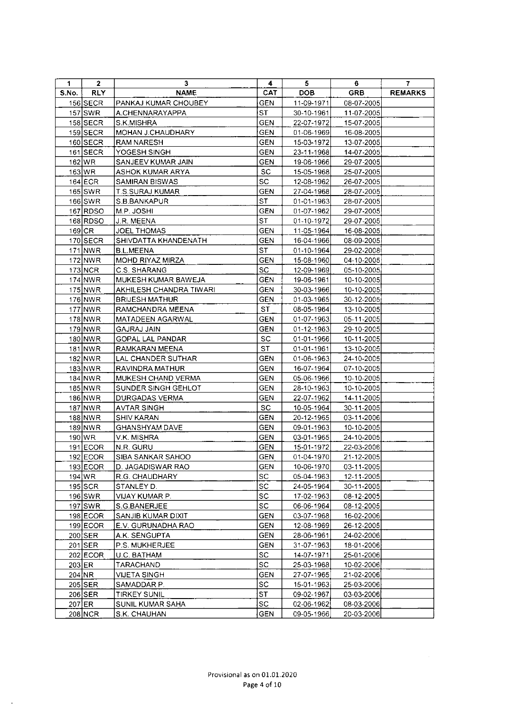| 1     | $\mathbf{2}$ | 3                       | 4          | 5.               | 6          | 7              |
|-------|--------------|-------------------------|------------|------------------|------------|----------------|
| S.No. | <b>RLY</b>   | <b>NAME</b>             | <b>CAT</b> | <b>DOB</b>       | <b>GRB</b> | <b>REMARKS</b> |
|       | $156$ SECR   | PANKAJ KUMAR CHOUBEY    | <b>GEN</b> | 11-09-1971       | 08-07-2005 |                |
|       | $157$ SWR    | A.CHENNARAYAPPA         | <b>ST</b>  | 30-10-1961       | 11-07-2005 |                |
|       | $158$ SECR   | S.K.MISHRA              | <b>GEN</b> | 22-07-1972       | 15-07-2005 |                |
|       | $159$ SECR   | MOHAN J.CHAUDHARY       | <b>GEN</b> | 01-06-1969       | 16-08-2005 |                |
|       | 160 SECR     | RAM NARESH              | <b>GEN</b> | 15-03-1972       | 13-07-2005 |                |
|       | $161$ SECR   | YOGESH SINGH            | <b>GEN</b> | 23-11-1968       | 14-07-2005 |                |
|       | 162 WR       | SANJEEV KUMAR JAIN      | <b>GEN</b> | 19-06-1966       | 29-07-2005 |                |
|       | 163 WR       | ASHOK KUMAR ARYA        | SC         | 15-05-1968       | 25-07-2005 |                |
|       | $164$ ECR    | <b>SAMIRAN BISWAS</b>   | ${\sf SC}$ | 12-08-1962       | 26-07-2005 |                |
|       | $165$ SWR    | T.S.SURAJ KUMAR         | <b>GEN</b> | 27-04-1968       | 28-07-2005 |                |
|       | $166$ SWR    | S.B.BANKAPUR            | <b>ST</b>  | 01-01-1963       | 28-07-2005 |                |
|       | 167 RDSO     | M.P. JOSHI              | <b>GEN</b> | 01-07-1962       | 29-07-2005 |                |
|       | 168 RDSO     | J.R. MEENA              | <b>ST</b>  | 01-10-1972       | 29-07-2005 |                |
|       | $169$ CR     | <b>JOEL THOMAS</b>      | <b>GEN</b> | 11-05-1964       | 16-08-2005 |                |
|       | $170$ SECR   | SHIVDATTA KHANDENATH    | <b>GEN</b> | 16-04-1966       | 08-09-2005 |                |
|       | 171 NWR      | <b>B.L.MEENA</b>        | <b>ST</b>  | $01 - 10 - 1964$ | 29-02-2008 |                |
|       | 172 NWR      | MOHD RIYAZ MIRZA        | GEN        | 15-08-1960       | 04-10-2005 |                |
|       | 173 NCR      | C.S. SHARANG            | ${\sf SC}$ | 12-09-1969       | 05-10-2005 |                |
|       | 174 NWR      | MUKESH KUMAR BAWEJA     | <b>GEN</b> | 19-06-1961       | 10-10-2005 |                |
|       | 175 NWR      | AKHILESH CHANDRA TIWARI | <b>GEN</b> | 30-03-1966       | 10-10-2005 |                |
|       | 176 NWR      | <b>BRIJESH MATHUR</b>   | <b>GEN</b> | 01-03-1965       | 30-12-2005 |                |
|       | $177$ NWR    | RAMCHANDRA MEENA        | <b>ST</b>  | 08-05-1964       | 13-10-2005 |                |
|       | $178$ NWR    | <b>MATADEEN AGARWAL</b> | <b>GEN</b> | 01-07-1963       | 05-11-2005 |                |
|       | $179$ NWR    | <b>GAJRAJ JAIN</b>      | <b>GEN</b> | 01-12-1963       | 29-10-2005 |                |
|       | 180 NWR      | <b>GOPAL LAL PANDAR</b> | <b>SC</b>  | $01-01-1966$     | 10-11-2005 |                |
|       | 181 NWR      | RAMKARAN MEENA          | <b>ST</b>  | $01-01-1961$     | 13-10-2005 |                |
|       | 182 NWR      | LAL CHANDER SUTHAR      | <b>GEN</b> | 01-06-1963       | 24-10-2005 |                |
|       | 183 NWR      | RAVINDRA MATHUR         | <b>GEN</b> | 16-07-1964       | 07-10-2005 |                |
|       | $184$ NWR    | MUKESH CHAND VERMA      | <b>GEN</b> | 05-06-1966       | 10-10-2005 |                |
|       | $185$ NWR    | SUNDER SINGH GEHLOT     | <b>GEN</b> | 28-10-1963       | 10-10-2005 |                |
|       | $186$ NWR    | DURGADAS VERMA          | <b>GEN</b> | 22-07-1962       | 14-11-2005 |                |
|       | 187 NWR      | <b>AVTAR SINGH</b>      | SC         | 10-05-1964       | 30-11-2005 |                |
|       | 188 NWR      | <b>SHIV KARAN</b>       | <b>GEN</b> | 20-12-1965       | 03-11-2006 |                |
|       | 189 NWR      | <b>GHANSHYAM DAVE</b>   | <b>GEN</b> | 09-01-1963       | 10-10-2005 |                |
|       | 190 WR       | V.K. MISHRA             | <b>GEN</b> | 03-01-1965       | 24-10-2005 |                |
|       | $191$ ECOR   | N.R. GURU               | <b>GEN</b> | 15-01-1972       | 22-03-2006 |                |
|       | 192 ECOR     | SIBA SANKAR SAHOO       | GEN        | 01-04-1970       | 21-12-2005 |                |
|       | 193 ECOR     | D. JAGADISWAR RAO       | <b>GEN</b> | 10-06-1970       | 03-11-2005 |                |
|       | 194 WR       | R.G. CHAUDHARY          | SC         | 05-04-1963       | 12-11-2005 |                |
|       | $195$ SCR    | STANLEY D.              | SC         | 24-05-1964       | 30-11-2005 |                |
|       | $196$ SWR    | VIJAY KUMAR P.          | <b>SC</b>  | 17-02-1963       | 08-12-2005 |                |
|       | $197$ SWR    | S.G.BANERJEE            | SC         | 06-06-1964       | 08-12-2005 |                |
|       | 198 ECOR     | SANJIB KUMAR DIXIT      | <b>GEN</b> | 03-07-1968       | 16-02-2006 |                |
|       | $199$ ECOR   | E.V. GURUNADHA RAO      | <b>GEN</b> | 12-08-1969       | 26-12-2005 |                |
|       | 200 SER      | A.K. SENGUPTA           | <b>GEN</b> | 28-06-1961       | 24-02-2006 |                |
|       | $201$ SER    | P.S. MUKHERJEE          | <b>GEN</b> | 31-07-1963       | 18-01-2006 |                |
|       | $202$ ECOR   | U.C. BATHAM             | SC         | 14-07-1971       | 25-01-2006 |                |
|       | $203$ ER     | TARACHAND               | ${\sf SC}$ | 25-03-1968       | 10-02-2006 |                |
|       | $204$ NR     | VIJETA SINGH            | GEN        | 27-07-1965       | 21-02-2006 |                |
|       | $205$ SER    | SAMADDAR P.             | SC         | 15-01-1963       | 25-03-2006 |                |
|       | $206$ SER    | <b>TIRKEY SUNIL</b>     | <b>ST</b>  | 09-02-1967       | 03-03-2006 |                |
|       | $207$ ER     | SUNIL KUMAR SAHA        | ${\sf SC}$ | 02-06-1962       | 08-03-2006 |                |
|       | $208$ NCR    | S.K. CHAUHAN            | GEN        | 09-05-1966       | 20-03-2006 |                |

 $\ddot{\phantom{0}}$ 

 $\sim 40$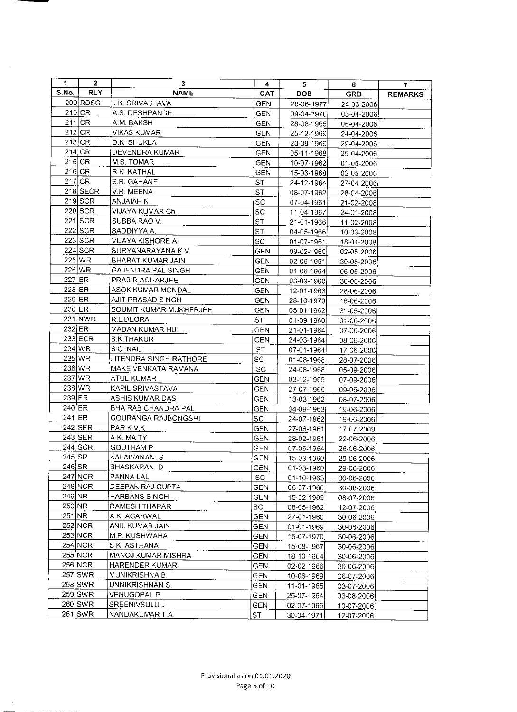| 1        | 2          | 3                          | 4                            | 5              | 6          | 7              |
|----------|------------|----------------------------|------------------------------|----------------|------------|----------------|
| S.No.    | <b>RLY</b> | <b>NAME</b>                | CAT                          | <b>DOB</b>     | <b>GRB</b> | <b>REMARKS</b> |
|          | 209 RDSO   | J.K. SRIVASTAVA            | <b>GEN</b>                   | 26-06-1977     | 24-03-2006 |                |
|          | 210 CR     | A.S. DESHPANDE             | <b>GEN</b>                   | 09-04-1970     | 03-04-2006 |                |
|          | $211$ CR   | A.M. BAKSHI                | <b>GEN</b>                   | 28-08-1965     | 06-04-2006 |                |
|          | $212$ CR   | <b>VIKAS KUMAR</b>         | <b>GEN</b>                   | 25-12-1969     | 24-04-2006 |                |
|          | $213$ CR   | D.K. SHUKLA                | GEN                          | 23-09-1966     | 29-04-2006 |                |
|          | $214$ CR   | DEVENDRA KUMAR             | <b>GEN</b>                   | 05-11-1968     | 29-04-2006 |                |
|          | $215$ CR   | M.S. TOMAR                 | <b>GEN</b>                   | 10-07-1962     | 01-05-2006 |                |
|          | $216$ CR   | R.K. KATHAL                | <b>GEN</b>                   | 15-03-1968     | 02-05-2006 |                |
|          | $217$ CR   | S.R. GAHANE                | <b>ST</b>                    | 24-12-1964     | 27-04-2006 |                |
|          | 218 SECR   | V.R. MEENA                 | <b>ST</b>                    | 08-07-1962     | 28-04-2006 |                |
|          | $219$ SCR  | ANJAIAH N.                 | SC                           | 07-04-1961     | 21-02-2008 |                |
|          | 220 SCR    | VIJAYA KUMAR Ch.           | SC                           | 11-04-1967     | 24-01-2008 |                |
|          | 221 SCR    | SUBBA RAO V.               | <b>ST</b>                    | 21-01-1966     | 11-02-2008 |                |
|          | $222$ SCR  | BADDIYYA A.                | <b>ST</b>                    | 04-05-1966     | 10-03-2008 |                |
|          | 223 SCR    | VIJAYA KISHORE A.          | SC                           | 01-07-1961     | 18-01-2008 |                |
|          | 224 SCR    | SURYANARAYANA K.V          | <b>GEN</b>                   | 09-02-1960     | 02-05-2006 |                |
|          | $225$ WR   | BHARAT KUMAR JAIN          | <b>GEN</b>                   | 02-06-1961     | 30-05-2006 |                |
|          | 226 WR     | GAJENDRA PAL SINGH         | GEN                          | 01-06-1964     | 06-05-2006 |                |
|          | $227$ ER   | PRABIR ACHARJEE            | <b>GEN</b>                   | 03-09-1960     | 30-06-2006 |                |
|          | $228$ ER   | ASOK KUMAR MONDAL          | <b>GEN</b>                   | 12-01-1963     | 28-06-2006 |                |
|          | $229$ ER   | AJIT PRASAD SINGH          | <b>GEN</b>                   | 28-10-1970     | 16-06-2006 |                |
|          | 230 ER     | SOUMIT KUMAR MUKHERJEE     | GEN                          | 05-01-1962     | 31-05-2006 |                |
|          | 231 NWR    | R.L.DEORA                  | ST                           | 01-09-1960     | 01-06-2006 |                |
| 232 ER   |            | MADAN KUMAR HUI            | <b>GEN</b>                   | 21-01-1964     | 07-06-2006 |                |
|          | 233 ECR    | <b>B.K.THAKUR</b>          | <b>GEN</b>                   | 24-03-1964     | 08-06-2006 |                |
|          | 234 WR     | S.C. NAG                   | <b>ST</b>                    | 07-01-1964     | 17-06-2006 |                |
|          | 235 WR     | JITENDRA SINGH RATHORE     | SC.                          | 01-08-1968     | 28-07-2006 |                |
|          | 236 WR     | MAKE VENKATA RAMANA        | ${\sf SC}$                   | 24-08-1968     | 05-09-2006 |                |
|          | 237 WR     | ATUL KUMAR                 | <b>GEN</b>                   | 03-12-1965     | 07-09-2006 |                |
|          | 238 WR     | KAPIL SRIVASTAVA           | <b>GEN</b>                   | 27-07-1966     | 09-06-2006 |                |
| $239$ ER |            | ASHIS KUMAR DAS            | GEN                          | 13-03-1962     | 08-07-2006 |                |
| 240 ER   |            | <b>BHAIRAB CHANDRA PAL</b> | <b>GEN</b>                   | 04-09-1963     | 19-06-2006 |                |
| 241 ER   |            | GOURANGA RAJBONGSHI        | SC.                          | 24-07-1962     | 19-06-2006 |                |
|          | $242$ SER  | PARIK V.K.                 | GEN                          | 27-06-1961     | 17-07-2009 |                |
|          | $243$ SER  | A.K. MAITY                 | GEN                          | 28-02-1961     | 22-06-2006 |                |
|          | $244$ SCR  | GOUTHAM P.                 | GEN                          | $[07-06-1964]$ | 26-06-2006 |                |
| $245$ SR |            | KALAIVANAN, S              | GEN                          | 15-03-1960     | 29-06-2006 |                |
| 246 SR   |            | BHASKARAN. D               | GEN                          | 01-03-1960     | 29-06-2006 |                |
|          | 247 NCR    | <b>PANNA LAL</b>           | $\operatorname{\textsf{sc}}$ | 01-10-1963     | 30-06-2006 |                |
|          | 248 NCR    | DEEPAK RAJ GUPTA           | <b>GEN</b>                   | 06-07-1960     | 30-06-2006 |                |
| 249 NR   |            | HARBANS SINGH              | GEN                          | 15-02-1965     | 08-07-2006 |                |
| 250 NR   |            | RAMESH THAPAR              | SC                           | 08-05-1962     | 12-07-2006 |                |
| 251 NR   |            | A.K. AGARWAL               | <b>GEN</b>                   | 27-01-1960     | 30-06-2006 |                |
|          | 252 NCR    | ANIL KUMAR JAIN            | <b>GEN</b>                   | 01-01-1969     | 30-06-2006 |                |
|          | 253 NCR    | M.P. KUSHWAHA              | GEN                          | 15-07-1970     | 30-06-2006 |                |
|          | 254 NCR    | S.K. ASTHANA               | GEN                          | 15-08-1967     | 30-06-2006 |                |
|          | $255$ NCR  | MANOJ KUMAR MISHRA         | <b>GEN</b>                   | 18-10-1964     | 30-06-2006 |                |
|          | 256 NCR    | HARENDER KUMAR             | <b>GEN</b>                   | 02-02-1966     | 30-06-2006 |                |
|          | 257 SWR    | MUNIKRISHNA B.             | GEN                          | 10-06-1969     | 06-07-2006 |                |
|          | 258 SWR    | UNNIKRISHNAN S.            | GEN                          | 11-01-1965     | 03-07-2006 |                |
|          | 259 SWR    | VENUGOPAL P.               | GEN                          | 25-07-1964     | 03-08-2006 |                |
|          | 260 SWR    | SREENIVSULU J.             | GEN                          | 02-07-1966     | 10-07-2006 |                |
|          | $261$ SWR  | NANDAKUMAR T.A.            | ST                           | 30-04-1971     | 12-07-2006 |                |

 $\mathcal{A}^{\mathcal{A}}$ 

 $\ddot{\phantom{0}}$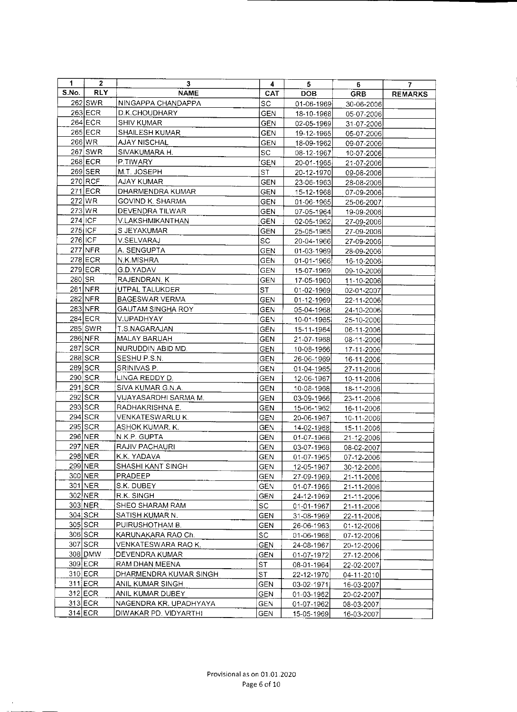| 1     | $\mathbf{2}$ | 3                        | 4          | 5.                   | 6.               | 7.             |
|-------|--------------|--------------------------|------------|----------------------|------------------|----------------|
| S.No. | <b>RLY</b>   | <b>NAME</b>              | <b>CAT</b> | <b>DOB</b>           | <b>GRB</b>       | <b>REMARKS</b> |
|       | 262 SWR      | NINGAPPA CHANDAPPA       | SC         | 01-06-1969           | 30-06-2006       |                |
|       | 263 ECR      | D.K.CHOUDHARY            | <b>GEN</b> | 18-10-1968           | 05-07-2006       |                |
|       | $264$ ECR    | <b>SHIV KUMAR</b>        | <b>GEN</b> | 02-05-1969           | 31-07-2006       |                |
|       | 265 ECR      | SHAILESH KUMAR           | <b>GEN</b> | 19-12-1965           | 05-07-2006       |                |
|       | 266 WR       | AJAY NISCHAL             | <b>GEN</b> | 18-09-1962           | 09-07-2006       |                |
|       | $267$ SWR    | SIVAKUMARA H.            | SC.        | 08-12-1967           | 10-07-2006       |                |
|       | 268 ECR      | P.TIWARY                 | <b>GEN</b> | 20-01-1965           | 21-07-2006       |                |
|       | $269$ SER    | M.T. JOSEPH              | ST         | 20-12-1970           | 09-08-2006       |                |
|       | $270$ RCF    | <b>AJAY KUMAR</b>        | <b>GEN</b> | 23-06-1963           | 28-08-2006       |                |
|       | 271 ECR      | DHARMENDRA KUMAR         | <b>GEN</b> | 15-12-1968           | 07-09-2006       |                |
|       | 272 WR       | GOVIND K. SHARMA         | <b>GEN</b> | 01-06-1965           | 25-06-2007       |                |
|       | $273$ WR     | DEVENDRA TILWAR          | <b>GEN</b> | 07-05-1964           | 19-09-2006       |                |
|       | $274$ ICF    | V.LAKSHMIKANTHAN         | <b>GEN</b> | 02-05-1962           | 27-09-2006       |                |
|       | 275 ICF      | S JEYAKUMAR              | <b>GEN</b> | 25-05-1965           | 27-09-2006       |                |
|       | 276 ICF      | V.SELVARAJ               | SC.        | 20-04-1966           | 27-09-2006       |                |
|       | $277$ NFR    | A. SENGUPTA              | <b>GEN</b> | 01-03-1969           | 28-09-2006       |                |
|       | 278 ECR      | N.K.MISHRA               | GEN        | 01-01-1966           | 16-10-2006       |                |
|       | 279 ECR      | G.D.YADAV                | <b>GEN</b> | 15-07-1969           | 09-10-2006       |                |
|       | 280 SR       | RAJENDRAN. K             | GEN        | 17-05-1960           | 11-10-2006       |                |
|       | 281 NFR      | UTPAL TALUKDER           | <b>ST</b>  | 01-02-1969           | 02-01-2007       |                |
|       | 282 NFR      | <b>BAGESWAR VERMA</b>    | <b>GEN</b> | 01-12-1969           | 22-11-2006       |                |
|       | 283 NFR      | <b>GAUTAM SINGHA ROY</b> | GEN        | 05-04-1968           | 24-10-2006       |                |
|       | 284 ECR      | V.UPADHYAY               | GEN        | 10-01-1965           | 25-10-2006       |                |
|       | 285 SWR      | T.S.NAGARAJAN            | <b>GEN</b> | 15-11-1964           | 06-11-2006       |                |
|       | 286 NFR      | MALAY BARUAH             | <b>GEN</b> | 21-07-1968           | 08-11-2006       |                |
|       | 287 SCR      | NURUDDIN ABID MD.        | <b>GEN</b> | 10-08-1966           | 17-11-2006       |                |
|       | 288 SCR      | SESHU P.S.N.             | <b>GEN</b> | 26-06-1969           | 16-11-2006       |                |
|       | $289$ SCR    | SRINIVAS P.              | GEN        | 01-04-1965           | 27-11-2006       |                |
|       | 290 SCR      | LINGA REDDY D.           | <b>GEN</b> | 12-06-1967           | 10-11-2006       |                |
|       | $291$ SCR    | SIVA KUMAR G.N.A.        | <b>GEN</b> | 10-08-1968           | 18-11-2006       |                |
|       | $292$ SCR    | VIJAYASARDHI SARMA M.    | GEN        | 03-09-1966           | 23-11-2006       |                |
|       | $293$ SCR    | RADHAKRISHNA E.          | <b>GEN</b> | 15-06-1962           | 16-11-2006       |                |
|       | $294$ SCR    | VENKATESWARLU K.         | <b>GEN</b> | 20-06-1967           | 10-11-2006       |                |
|       | $295$ SCR    | ASHOK KUMAR, K.          | <b>GEN</b> | 14-02-1968           | 15-11-2006       |                |
|       | 296 NER      | N.K.P. GUPTA             | <b>GEN</b> | 01-07-1966           | 21-12-2006       |                |
|       | 297 NER      | RAJIV PACHAURI           | GEN        | 03-07-1968           | 08-02-2007       |                |
|       | 298 NER      | K.K. YADAVA              | GEN        | $\boxed{01-07-1965}$ | $07 - 12 - 2006$ |                |
|       | 299 NER      | SHASHI KANT SINGH        | GEN        | 12-05-1967           | 30-12-2006       |                |
|       | 300 NER      | PRADEEP                  | GEN        | 27-09-1969           | 21-11-2006       |                |
|       | 301 NER      | S.K. DUBEY               | <b>GEN</b> | 01-07-1966           | 21-11-2006       |                |
|       | 302 NER      | R.K. SINGH               | <b>GEN</b> | 24-12-1969           | 21-11-2006       |                |
|       | 303 NER      | SHEO SHARAM RAM          | SC.        | 01-01-1967           | 21-11-2006       |                |
|       | $304$ SCR    | SATISH KUMAR N.          | GEN        | 31-08-1969           | 22-11-2006       |                |
|       | 305 SCR      | PUIRUSHOTHAM B.          | <b>GEN</b> | 26-06-1963           | 01-12-2006       |                |
|       | 306 SCR      | KARUNAKARA RAO Ch.       | SC         | 01-06-1968           | 07-12-2006       |                |
|       | $307$ SCR    | VENKATESWARA RAO K.      | GEN        | 24-08-1967           | 20-12-2006       |                |
|       | 308 DMW      | DEVENDRA KUMAR           | GEN        | 01-07-1972           | 27-12-2006       |                |
|       | 309 ECR      | RAM DHAN MEENA           | ST         | 08-01-1964           | 22-02-2007       |                |
|       | $310$ ECR    | DHARMENDRA KUMAR SINGH   | ST         | 22-12-1970           | 04-11-2010       |                |
|       | $311$ ECR    | ANIL KUMAR SINGH         | GEN        | 03-02-1971           | 16-03-2007       |                |
|       | 312 ECR      | ANIL KUMAR DUBEY         | <b>GEN</b> | 01-03-1962           | 20-02-2007       |                |
|       | 313 ECR      | NAGENDRA KR. UPADHYAYA   | <b>GEN</b> | 01-07-1962           | 08-03-2007       |                |
|       | 314 ECR      | DIWAKAR PD. VIDYARTHI    | <b>GEN</b> | 15-05-1969           | 16-03-2007       |                |

 $\ddot{\phantom{0}}$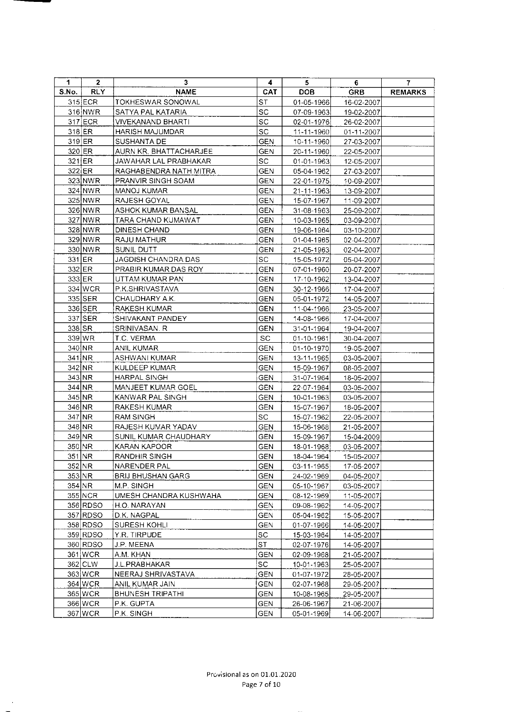| 1        | 2          | 3                         | 4          | 5                | 6.         | 7              |
|----------|------------|---------------------------|------------|------------------|------------|----------------|
| S.No.    | <b>RLY</b> | <b>NAME</b>               | <b>CAT</b> | <b>DOB</b>       | <b>GRB</b> | <b>REMARKS</b> |
|          | $315$ ECR  | TOKHESWAR SONOWAL         | ST         | $01-05-1966$     | 16-02-2007 |                |
|          | 316 NWR    | SATYA PAL KATARIA         | SC         | 07-09-1963       | 19-02-2007 |                |
|          | 317 ECR    | VIVEKANAND BHARTI         | <b>SC</b>  | 02-01-1976       | 26-02-2007 |                |
|          | $318$ ER   | <b>HARISH MAJUMDAR</b>    | <b>SC</b>  | 11-11-1960       | 01-11-2007 |                |
|          | $319$ ER   | SUSHANTA DE               | <b>GEN</b> | 10-11-1960       | 27-03-2007 |                |
|          | 320 ER     | AURN KR. BHATTACHARJEE    | <b>GEN</b> | 20-11-1960       | 22-05-2007 |                |
|          | $321$ ER   | JAWAHAR LAL PRABHAKAR     | SC.        | 01-01-1963       | 12-05-2007 |                |
|          | $322$ ER   | RAGHABENDRA NATH MITRA    | <b>GEN</b> | 05-04-1962       | 27-03-2007 |                |
|          | 323 NWR    | PRANVIR SINGH SOAM        | <b>GEN</b> | 22-01-1975       | 10-09-2007 |                |
|          | 324 NWR    | MANOJ KUMAR               | <b>GEN</b> | 21-11-1963       | 13-09-2007 |                |
|          | 325 NWR    | RAJESH GOYAL              | <b>GEN</b> | 15-07-1967       | 11-09-2007 |                |
|          | 326 NWR    | <b>ASHOK KUMAR BANSAL</b> | <b>GEN</b> | 31-08-1963       | 25-09-2007 |                |
|          | 327 NWR    | TARA CHAND KUMAWAT        | GEN        | 10-03-1965       | 03-09-2007 |                |
|          | 328 NWR    | DINESH CHAND              | <b>GEN</b> | 19-06-1964       | 03-10-2007 |                |
|          | 329 NWR    | RAJU MATHUR               | GEN        | $01-04-1965$     | 02-04-2007 |                |
|          | 330 NWR    | SUNIL DUTT                | GEN        | 21-05-1963       | 02-04-2007 |                |
|          | $331$ ER   | JAGDISH CHANDRA DAS       | SC.        | 15-05-1972       | 05-04-2007 |                |
|          | 332 ER     | PRABIR KUMAR DAS ROY      | GEN        | 07-01-1960       | 20-07-2007 |                |
|          | 333 ER     | UTTAM KUMAR PAN           | GEN        | 17-10-1962       | 13-04-2007 |                |
|          | 334 WCR    | P.K.SHRIVASTAVA           | GEN        | 30-12-1966       | 17-04-2007 |                |
|          | 335 SER    | CHAUDHARY A.K.            | <b>GEN</b> | 05-01-1972       | 14-05-2007 |                |
|          | 336 SER    | RAKESH KUMAR              | <b>GEN</b> | 11-04-1966       | 23-05-2007 |                |
|          | 337 SER    | SHIVAKANT PANDEY          | <b>GEN</b> | 14-08-1966       | 17-04-2007 |                |
|          | $338$ $SR$ | SRINIVASAN, R             | <b>GEN</b> | 31-01-1964       | 19-04-2007 |                |
|          | 339 WR     | T.C. VERMA                | SC         | 01-10-1961       | 30-04-2007 |                |
|          | 340 NR     | <b>ANIL KUMAR</b>         | <b>GEN</b> | $01 - 10 - 1970$ | 19-05-2007 |                |
|          | $341$ NR   | ASHWANI KUMAR             | <b>GEN</b> | 13-11-1965       | 03-05-2007 |                |
|          | 342 NR     | KULDEEP KUMAR             | <b>GEN</b> | 15-09-1967       | 08-05-2007 |                |
|          | 343 NR     | HARPAL SINGH              | <b>GEN</b> | 31-07-1964       | 18-05-2007 |                |
|          | 344 NR     | MANJEET KUMAR GOEL        | <b>GEN</b> | 22-07-1964       | 03-05-2007 |                |
|          | 345 NR     | KANWAR PAL SINGH          | <b>GEN</b> | 10-01-1963       | 03-05-2007 |                |
|          | 346 NR     | RAKESH KUMAR              | GEN        | 15-07-1967       | 18-05-2007 |                |
|          | 347 NR     | RAM SINGH                 | SC         | 15-07-1962       | 22-05-2007 |                |
| 348 NR   |            | RAJESH KUMAR YADAV        | <b>GEN</b> | 15-06-1968       | 21-05-2007 |                |
| 349 NR   |            | SUNIL KUMAR CHAUDHARY     | <b>GEN</b> | 15-09-1967       | 15-04-2009 |                |
| 350 NR   |            | KARAN KAPOOR              | <b>GEN</b> | 18-01-1968       | 03-05-2007 |                |
| $351$ NR |            | RANDHIR SINGH             | <b>GEN</b> | 18-04-1964       | 15-05-2007 |                |
|          | 352 NR     | NARENDER PAL              | <b>GEN</b> | 03-11-1965       | 17-05-2007 |                |
|          | 353 NR     | BRIJ BHUSHAN GARG         | <b>GEN</b> | 24-02-1969       | 04-05-2007 |                |
|          | 354 NR     | MP SINGH                  | <b>GEN</b> | 05-10-1967       | 03-05-2007 |                |
|          | 355 NCR    | UMESH CHANDRA KUSHWAHA    | <b>GEN</b> | 08-12-1969       | 11-05-2007 |                |
|          | 356 RDSO   | H.O. NARAYAN              | <b>GEN</b> | 09-08-1962       | 14-05-2007 |                |
|          | 357 RDSO   | D.K. NAGPAL               | <b>GEN</b> | 05-04-1962       | 15-05-2007 |                |
|          | 358 RDSO   | SURESH KOHLI              | <b>GEN</b> | 01-07-1966       | 14-05-2007 |                |
|          | 359 RDSO   | Y.R. TIRPUDE              | SC         | 15-03-1964       | 14-05-2007 |                |
|          | 360 RDSO   | J.P. MEENA                | <b>ST</b>  | 02-07-1976       | 14-05-2007 |                |
|          | 361 WCR    | A.M. KHAN                 | GEN        | 02-09-1968       | 21-05-2007 |                |
|          | 362 CLW    | J.L.PRABHAKAR             | SC         | 10-01-1963       | 25-05-2007 |                |
|          | 363 WCR    | NEERAJ SHRIVASTAVA        | <b>GEN</b> | 01-07-1972       | 28-05-2007 |                |
|          | 364 WCR    | ANIL KUMAR JAIN           | GEN        | 02-07-1968       | 29-05-2007 |                |
|          | 365 WCR    | <b>BHUNESH TRIPATHI</b>   | GEN        | 10-08-1965       | 29-05-2007 |                |
|          | 366 WCR    | P.K. GUPTA                | GEN        | 26-06-1967       | 21-06-2007 |                |
|          | 367 WCR    | P.K. SINGH                | <b>GEN</b> | 05-01-1969       | 14-06-2007 |                |

 $\mathcal{A}^{\mathcal{A}}$ 

 $\hat{\mathcal{A}}$ 

 $\ddot{\phantom{a}}$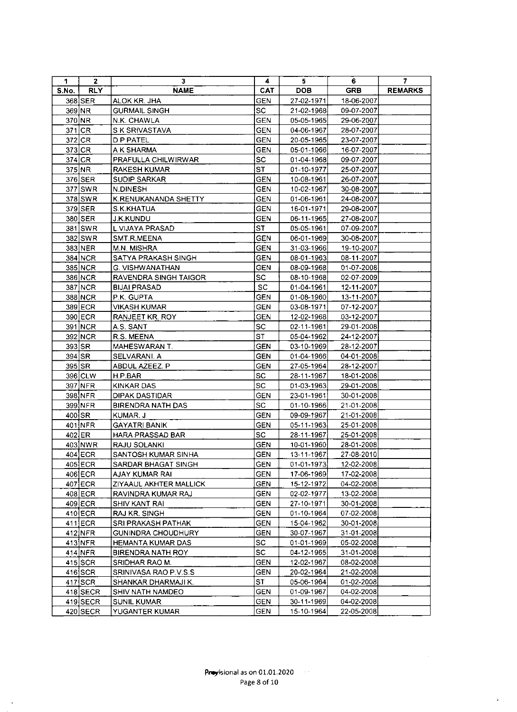| 1     | $\mathbf{2}$ | 3                            | 4          | 5                | 6.         | 7              |
|-------|--------------|------------------------------|------------|------------------|------------|----------------|
| S.No. | <b>RLY</b>   | <b>NAME</b>                  | <b>CAT</b> | <b>DOB</b>       | <b>GRB</b> | <b>REMARKS</b> |
|       | 368 SER      | ALOK KR. JHA                 | <b>GEN</b> | 27-02-1971       | 18-06-2007 |                |
|       | 369 NR       | <b>GURMAIL SINGH</b>         | SC         | 21-02-1968       | 09-07-2007 |                |
|       | 370 NR       | N.K. CHAWLA                  | <b>GEN</b> | 05-05-1965       | 29-06-2007 |                |
|       | $371$ CR     | S K SRIVASTAVA               | <b>GEN</b> | 04-06-1967       | 28-07-2007 |                |
|       | $372$ CR     | D P PATEL                    | <b>GEN</b> | 20-05-1965       | 23-07-2007 |                |
|       | $373$ CR     | A K SHARMA                   | GEN        | 05-01-1966       | 16-07-2007 |                |
|       | 374 CR       | PRAFULLA CHILWIRWAR          | SC.        | 01-04-1968       | 09-07-2007 |                |
|       | $375$ NR     | <b>RAKESH KUMAR</b>          | <b>ST</b>  | $01 - 10 - 1977$ | 25-07-2007 |                |
|       | 376 SER      | <b>SUDIP SARKAR</b>          | <b>GEN</b> | 10-08-1961       | 26-07-2007 |                |
|       | 377 SWR      | N.DINESH                     | <b>GEN</b> | 10-02-1967       | 30-08-2007 |                |
|       | 378 SWR      | K.RENUKANANDA SHETTY         | <b>GEN</b> | 01-06-1961       | 24-08-2007 |                |
|       | 379 SER      | S.K.KHATUA                   | <b>GEN</b> | 16-01-1971       | 29-08-2007 |                |
|       | 380 SER      | <b>J.K.KUNDU</b>             | <b>GEN</b> | 06-11-1965       | 27-08-2007 |                |
|       | 381 SWR      | L.VIJAYA PRASAD              | ST .       | 05-05-1961       | 07-09-2007 |                |
|       | 382 SWR      | SMT.R.MEENA                  | <b>GEN</b> | 06-01-1969       | 30-08-2007 |                |
|       | 383 NER      | M.N. MISHRA                  | <b>GEN</b> | 31-03-1966       | 19-10-2007 |                |
|       | 384 NCR      | <b>SATYA PRAKASH SINGH</b>   | <b>GEN</b> | 08-01-1963       | 08-11-2007 |                |
|       | 385 NCR      | G. VISHWANATHAN              | <b>GEN</b> | 08-09-1968       | 01-07-2008 |                |
|       | 386 NCR      | <b>RAVENDRA SINGH TAIGOR</b> | SC.        | 08-10-1968       | 02-07-2009 |                |
|       | 387 NCR      | <b>BIJAI PRASAD</b>          | ${\sf SC}$ | 01-04-1961       | 12-11-2007 |                |
|       | 388 NCR      | P.K. GUPTA                   | <b>GEN</b> | $01-08-1960$     | 13-11-2007 |                |
|       | 389 ECR      | VIKASH KUMAR                 | <b>GEN</b> | 03-08-1971       | 07-12-2007 |                |
|       | 390 ECR      | <b>RANJEET KR. ROY</b>       | <b>GEN</b> | 12-02-1968       | 03-12-2007 |                |
|       | 391 NCR      | A.S. SANT                    | SC.        | $02 - 11 - 1961$ | 29-01-2008 |                |
|       | 392 NCR      | R.S. MEENA                   | <b>ST</b>  | 05-04-1962       | 24-12-2007 |                |
|       | 393 SR       | MAHESWARAN T.                | <b>GEN</b> | 03-10-1969       | 28-12-2007 |                |
|       | 394 SR       | SELVARANI. A                 | <b>GEN</b> | 01-04-1966       | 04-01-2008 |                |
|       | 395 SR       | ABDUL AZEEZ. P               | <b>GEN</b> | 27-05-1964       | 28-12-2007 |                |
|       | 396 CLW      | H.P.BAR                      | SC         | 28-11-1967       | 18-01-2008 |                |
|       | 397 NFR      | <b>KINKAR DAS</b>            | <b>SC</b>  | 01-03-1963       | 29-01-2008 |                |
|       | 398 NFR      | <b>DIPAK DASTIDAR</b>        | <b>GEN</b> | 23-01-1961       | 30-01-2008 |                |
|       | 399 NFR      | <b>BIRENDRA NATH DAS</b>     | SC         | $01 - 10 - 1966$ | 21-01-2008 |                |
|       | 400 SR       | KUMAR J                      | GEN        | 09-09-1967       | 21-01-2008 |                |
|       | 401 NFR      | <b>GAYATRI BANIK</b>         | <b>GEN</b> | 05-11-1963       | 25-01-2008 |                |
|       | 402 ER       | HARA PRASSAD BAR             | SC.        | 28-11-1967       | 25-01-2008 |                |
|       | 403 NWR      | RAJU SOLANKI                 | <b>GEN</b> | 10-01-1960       | 28-01-2008 |                |
|       | $404$ ECR    | SANTOSH KUMAR SINHA          | <b>GEN</b> | 13-11-1967       | 27-08-2010 |                |
|       | 405 ECR      | SARDAR BHAGAT SINGH          | <b>GEN</b> | 01-01-1973       | 12-02-2008 |                |
|       | 406 ECR      | AJAY KUMAR RAI               | GEN        | 17-06-1969       | 17-02-2008 |                |
|       | 407 ECR      | ZIYAAUL AKHTER MALLICK       | <b>GEN</b> | 15-12-1972       | 04-02-2008 |                |
|       | $408$ ECR    | RAVINDRA KUMAR RAJ           | GEN        | 02-02-1977       | 13-02-2008 |                |
|       | $409$ ECR    | SHIV KANT RAI                | GEN        | 27-10-1971       | 30-01-2008 |                |
|       | $410$ ECR    | RAJ KR. SINGH                | <b>GEN</b> | 01-10-1964       | 07-02-2008 |                |
|       | 411 ECR      | SRI PRAKASH PATHAK           | <b>GEN</b> | 15-04-1962       | 30-01-2008 |                |
|       | $412$ NFR    | <b>GUNINDRA CHOUDHURY</b>    | <b>GEN</b> | 30-07-1967       | 31-01-2008 |                |
|       | 413 NFR      | <b>HEMANTA KUMAR DAS</b>     | SC.        | 01-01-1969       | 05-02-2008 |                |
|       | 414 NFR      | BIRENDRA NATH ROY            | SC         | 04-12-1965       | 31-01-2008 |                |
|       | $415$ SCR    | SRIDHAR RAO M.               | GEN        | 12-02-1967       | 08-02-2008 |                |
|       | $416$ SCR    | SRINIVASA RAO P.V.S.S        | GEN        | 20-02-1964       | 21-02-2008 |                |
|       | $417$ SCR    | SHANKAR DHARMAJI K.          | SТ         | 05-06-1964       | 01-02-2008 |                |
|       | 418 SECR     | SHIV NATH NAMDEO             | <b>GEN</b> | 01-09-1967       | 04-02-2008 |                |
|       | $419$ SECR   | <b>SUNIL KUMAR</b>           | GEN        | 30-11-1969       | 04-02-2008 |                |
|       | 420 SECR     | YUGANTER KUMAR               | GEN        | 15-10-1964       | 22-05-2008 |                |

 $\ddot{\phantom{0}}$ 

 $\bar{\rm s}$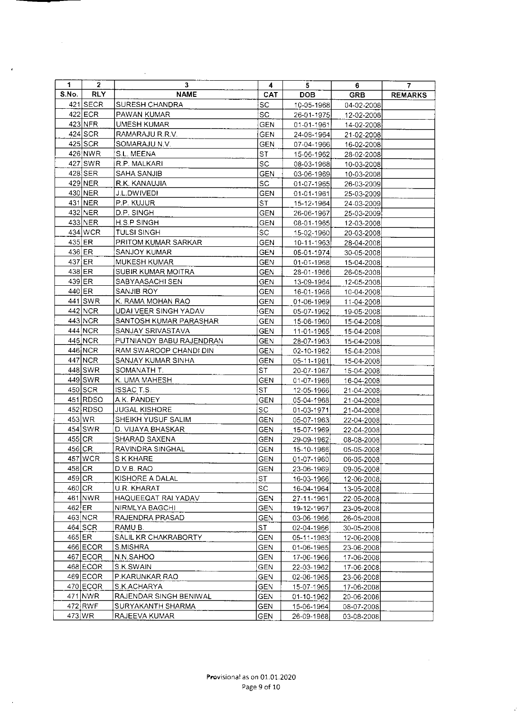| 1.       | $\mathbf{2}$ | 3                        | 4          | 5                | 6          | $\mathbf{7}$   |
|----------|--------------|--------------------------|------------|------------------|------------|----------------|
| S.No.    | <b>RLY</b>   | <b>NAME</b>              | <b>CAT</b> | <b>DOB</b>       | <b>GRB</b> | <b>REMARKS</b> |
|          | $421$ SECR   | SURESH CHANDRA           | SC.        | 10-05-1968       | 04-02-2008 |                |
|          | 422 ECR      | PAWAN KUMAR              | SC         | 26-01-1975       | 12-02-2008 |                |
|          | 423 NFR      | UMESH KUMAR              | <b>GEN</b> | $01 - 01 - 1961$ | 14-02-2008 |                |
|          | $424$ SCR    | RAMARAJU R.R.V.          | GEN        | 24-08-1964       | 21-02-2008 |                |
|          | 425 SCR      | SOMARAJU N.V.            | <b>GEN</b> | 07-04-1966       | 16-02-2008 |                |
|          | 426 NWR      | S.L. MEENA               | ST         | 15-06-1962       | 28-02-2008 |                |
|          | 427 SWR      | R.P. MALKARI             | <b>SC</b>  | 08-03-1968       | 10-03-2008 |                |
|          | 428 SER      | SAHA SANJIB              | <b>GEN</b> | 03-06-1969       | 10-03-2008 |                |
|          | 429 NER      | R.K. KANAUJIA            | <b>SC</b>  | 01-07-1965       | 26-03-2009 |                |
|          | 430 NER      | J.L.DWIVEDI              | <b>GEN</b> | 01-01-1961       | 25-03-2009 |                |
|          | 431 NER      | P.P. KUJUR               | ST.        | 15-12-1964       | 24-03-2009 |                |
|          | 432 NER      | D.P. SINGH               | <b>GEN</b> | 26-06-1967       | 25-03-2009 |                |
|          | 433 NER      | <b>HSPSINGH</b>          | <b>GEN</b> | 08-01-1965       | 12-03-2008 |                |
|          | 434 WCR      | <b>TULSI SINGH</b>       | <b>SC</b>  | 15-02-1960       | 20-03-2008 |                |
|          | $435$ ER     | PRITOM KUMAR SARKAR      | <b>GEN</b> | 10-11-1963       | 28-04-2008 |                |
|          | 436 ER       | SANJOY KUMAR             | <b>GEN</b> | 05-01-1974       | 30-05-2008 |                |
|          | 437 ER       | MUKESH KUMAR             | <b>GEN</b> | 01-01-1968       | 15-04-2008 |                |
|          | $438$ ER     | SUBIR KUMAR MOITRA       | <b>GEN</b> | 28-01-1966       | 26-05-2008 |                |
|          | 439 ER       | SABYAASACHI SEN          | GEN        | 13-09-1964       | 12-05-2008 |                |
|          | 440 ER       | SANJIB ROY               | GEN        | 16-01-1966       | 10-04-2008 |                |
|          | 441 SWR      | K. RAMA MOHAN RAO        | <b>GEN</b> | 01-06-1969       | 11-04-2008 |                |
|          | 442 NCR      | UDAI VEER SINGH YADAV    | <b>GEN</b> | 05-07-1962       | 19-05-2008 |                |
|          | 443 NCR      | SANTOSH KUMAR PARASHAR   | <b>GEN</b> | 15-06-1960       | 15-04-2008 |                |
|          | 444 NCR      | SANJAY SRIVASTAVA        | <b>GEN</b> | 11-01-1965       | 15-04-2008 |                |
|          | 445 NCR      | PUTNIANDY BABU RAJENDRAN | <b>GEN</b> | 28-07-1963       | 15-04-2008 |                |
|          | 446 NCR      | RAM SWAROOP CHANDI DIN   | <b>GEN</b> | 02-10-1962       | 15-04-2008 |                |
|          | 447 NCR      | SANJAY KUMAR SINHA       | <b>GEN</b> | 05-11-1961       | 15-04-2008 |                |
|          | 448 SWR      | SOMANATH T.              | ST         | 20-07-1967       | 15-04-2008 |                |
|          | 449 SWR      | K. UMA MAHESH            | <b>GEN</b> | 01-07-1966       | 16-04-2008 |                |
|          | 450 SCR      | <b>ISSACT.S.</b>         | <b>ST</b>  | 12-05-1966       | 21-04-2008 |                |
|          | 451 RDSO     | A K. PANDEY              | <b>GEN</b> | 05-04-1968       | 21-04-2008 |                |
|          | 452 RDSO     | <b>JUGAL KISHORE</b>     | ${\rm SC}$ | 01-03-1971       | 21-04-2008 |                |
|          | 453 WR       | SHEIKH YUSUF SALIM       | <b>GEN</b> | 05-07-1963       | 22-04-2008 |                |
|          | $454$ SWR    | D. VIJAYA BHASKAR        | <b>GEN</b> | 15-07-1969       | 22-04-2008 |                |
|          | $455$ CR     | SHARAD SAXENA            | <b>GEN</b> | 29-09-1962       | 08-08-2008 |                |
|          | 456 CR       | RAVINDRA SINGHAL         | <b>GEN</b> | 15-10-1966       | 05-05-2008 |                |
|          | 457 WCR      | S K KHARE                | GEN        | 01-07-1960       | 06-05-2008 |                |
| 458 CR   |              | D.V.B. RAO               | GEN        | 23-06-1969       | 09-05-2008 |                |
| $459$ CR |              | KISHORE A DALAL          | ST         | 16-03-1966       | 12-06-2008 |                |
| 460 CR   |              | U.R. KHARAT              | SC.        | 16-04-1964       | 13-05-2008 |                |
|          | 461 NWR      | HAQUEEQAT RAI YADAV      | GEN        | 27-11-1961       | 22-05-2008 |                |
| $462$ ER |              | NIRMLYA BAGCHI           | <b>GEN</b> | 19-12-1967       | 23-05-2008 |                |
|          | 463 NCR      | RAJENDRA PRASAD          | <b>GEN</b> | 03-06-1966       | 26-05-2008 |                |
|          | $464$ SCR    | RAMU B.                  | <b>ST</b>  | 02-04-1966       | 30-05-2008 |                |
| 465 ER   |              | SALIL KR CHAKRABORTY     | GEN        | 05-11-1963       | 12-06-2008 |                |
|          | $466$ ECOR   | S.MISHRA                 | GEN        | 01-06-1965       | 23-06-2008 |                |
|          | 467 ECOR     | N.N.SAHOO                | <b>GEN</b> | 17-06-1966       | 17-06-2008 |                |
|          | 468 ECOR     | S.K.SWAIN                | GEN        | 22-03-1962       | 17-06-2008 |                |
|          | 469 ECOR     | P.KARUNKAR RAO           | <b>GEN</b> | 02-06-1965       | 23-06-2008 |                |
|          | 470 ECOR     | S.K.ACHARYA              | <b>GEN</b> | 15-07-1965       | 17-06-2008 |                |
|          | 471 NWR      | RAJENDAR SINGH BENIWAL   | <b>GEN</b> | 01-10-1962       | 20-06-2008 |                |
|          | 472 RWF      | SURYAKANTH SHARMA        | <b>GEN</b> | 15-06-1964       | 08-07-2008 |                |
|          | 473 WR       | RAJEEVA KUMAR            | <b>GEN</b> | 26-09-1968       | 03-08-2008 |                |

 $\mathcal{L}^{\text{max}}_{\text{max}}$ 

 $\sim$   $\sim$ 

 $\mathcal{A}$ 

 $\bar{z}$ 

 $\sim 10$